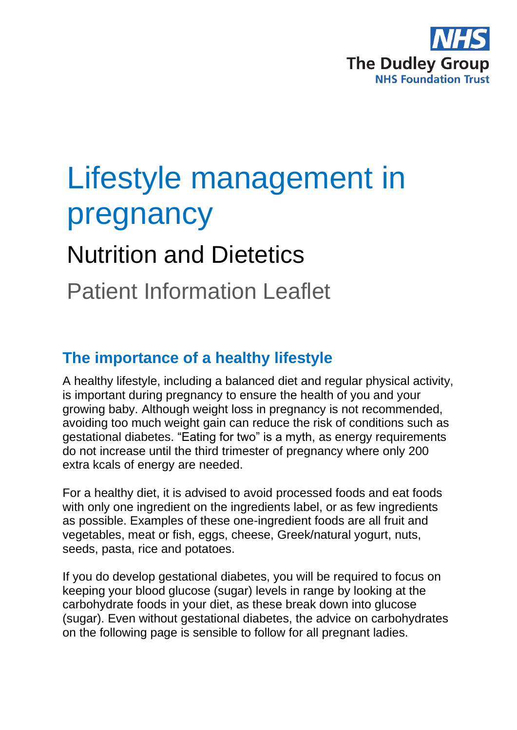

# Lifestyle management in pregnancy

## Nutrition and Dietetics

## Patient Information Leaflet

#### **The importance of a healthy lifestyle**

A healthy lifestyle, including a balanced diet and regular physical activity, is important during pregnancy to ensure the health of you and your growing baby. Although weight loss in pregnancy is not recommended, avoiding too much weight gain can reduce the risk of conditions such as gestational diabetes. "Eating for two" is a myth, as energy requirements do not increase until the third trimester of pregnancy where only 200 extra kcals of energy are needed.

For a healthy diet, it is advised to avoid processed foods and eat foods with only one ingredient on the ingredients label, or as few ingredients as possible. Examples of these one-ingredient foods are all fruit and vegetables, meat or fish, eggs, cheese, Greek/natural yogurt, nuts, seeds, pasta, rice and potatoes.

If you do develop gestational diabetes, you will be required to focus on keeping your blood glucose (sugar) levels in range by looking at the carbohydrate foods in your diet, as these break down into glucose (sugar). Even without gestational diabetes, the advice on carbohydrates on the following page is sensible to follow for all pregnant ladies.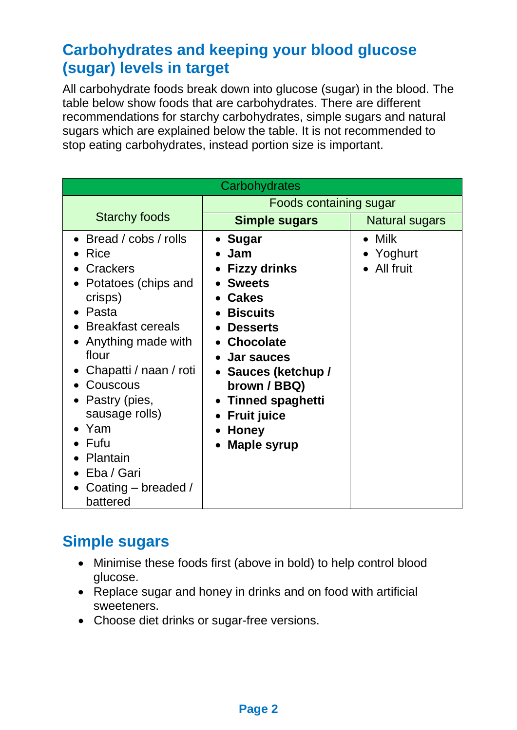#### **Carbohydrates and keeping your blood glucose (sugar) levels in target**

All carbohydrate foods break down into glucose (sugar) in the blood. The table below show foods that are carbohydrates. There are different recommendations for starchy carbohydrates, simple sugars and natural sugars which are explained below the table. It is not recommended to stop eating carbohydrates, instead portion size is important.

| Carbohydrates                                                                                                                                                                                                                                                                                                  |                                                                                                                                                                                                                                                                                      |                                            |
|----------------------------------------------------------------------------------------------------------------------------------------------------------------------------------------------------------------------------------------------------------------------------------------------------------------|--------------------------------------------------------------------------------------------------------------------------------------------------------------------------------------------------------------------------------------------------------------------------------------|--------------------------------------------|
|                                                                                                                                                                                                                                                                                                                | Foods containing sugar                                                                                                                                                                                                                                                               |                                            |
| <b>Starchy foods</b>                                                                                                                                                                                                                                                                                           | <b>Simple sugars</b>                                                                                                                                                                                                                                                                 | <b>Natural sugars</b>                      |
| • Bread / $cobs /$ rolls<br><b>Rice</b><br>Crackers<br>Potatoes (chips and<br>crisps)<br>Pasta<br><b>Breakfast cereals</b><br>Anything made with<br>flour<br>Chapatti / naan / roti<br>Couscous<br>Pastry (pies,<br>sausage rolls)<br>Yam<br>Fufu<br>Plantain<br>Eba / Gari<br>Coating - breaded /<br>battered | <b>Sugar</b><br>$\bullet$<br>Jam<br><b>Fizzy drinks</b><br><b>Sweets</b><br><b>Cakes</b><br><b>Biscuits</b><br><b>Desserts</b><br>• Chocolate<br><b>Jar sauces</b><br>• Sauces (ketchup /<br>brown / BBQ)<br>• Tinned spaghetti<br><b>Fruit juice</b><br><b>Honey</b><br>Maple syrup | $\bullet$ Milk<br>• Yoghurt<br>• All fruit |

#### **Simple sugars**

- Minimise these foods first (above in bold) to help control blood glucose.
- Replace sugar and honey in drinks and on food with artificial sweeteners.
- Choose diet drinks or sugar-free versions.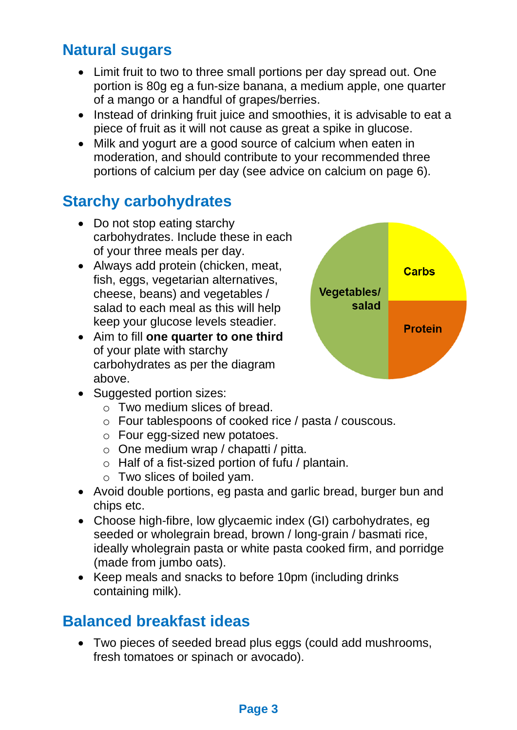#### **Natural sugars**

- Limit fruit to two to three small portions per day spread out. One portion is 80g eg a fun-size banana, a medium apple, one quarter of a mango or a handful of grapes/berries.
- Instead of drinking fruit juice and smoothies, it is advisable to eat a piece of fruit as it will not cause as great a spike in glucose.
- Milk and yogurt are a good source of calcium when eaten in moderation, and should contribute to your recommended three portions of calcium per day (see advice on calcium on page 6).

#### **Starchy carbohydrates**

- Do not stop eating starchy carbohydrates. Include these in each of your three meals per day.
- Always add protein (chicken, meat, fish, eggs, vegetarian alternatives. cheese, beans) and vegetables / salad to each meal as this will help keep your glucose levels steadier.
- Aim to fill **one quarter to one third** of your plate with starchy carbohydrates as per the diagram above.
- Suggested portion sizes:
	- o Two medium slices of bread.
	- o Four tablespoons of cooked rice / pasta / couscous.
	- o Four egg-sized new potatoes.
	- o One medium wrap / chapatti / pitta.
	- o Half of a fist-sized portion of fufu / plantain.
	- o Two slices of boiled yam.
- Avoid double portions, eg pasta and garlic bread, burger bun and chips etc.
- Choose high-fibre, low glycaemic index (GI) carbohydrates, eg seeded or wholegrain bread, brown / long-grain / basmati rice, ideally wholegrain pasta or white pasta cooked firm, and porridge (made from jumbo oats).
- Keep meals and snacks to before 10pm (including drinks containing milk).

#### **Balanced breakfast ideas**

• Two pieces of seeded bread plus eggs (could add mushrooms, fresh tomatoes or spinach or avocado).

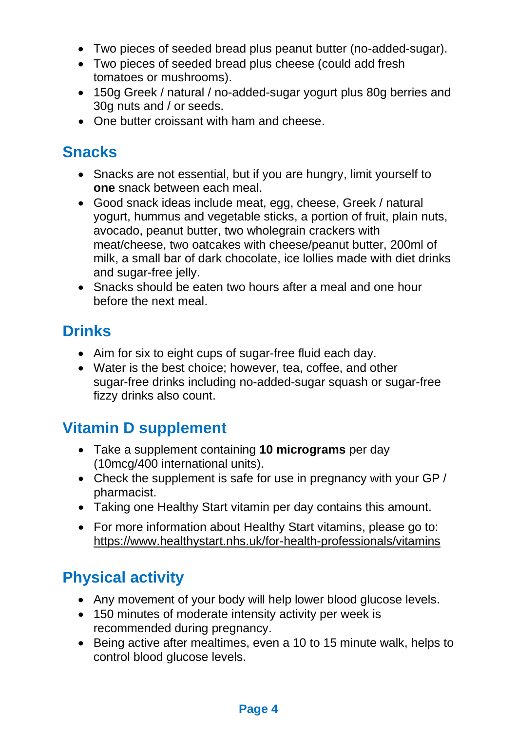- Two pieces of seeded bread plus peanut butter (no-added-sugar).
- Two pieces of seeded bread plus cheese (could add fresh tomatoes or mushrooms).
- 150g Greek / natural / no-added-sugar yogurt plus 80g berries and 30g nuts and / or seeds.
- One butter croissant with ham and cheese.

#### **Snacks**

- Snacks are not essential, but if you are hungry, limit yourself to **one** snack between each meal.
- Good snack ideas include meat, egg, cheese, Greek / natural yogurt, hummus and vegetable sticks, a portion of fruit, plain nuts, avocado, peanut butter, two wholegrain crackers with meat/cheese, two oatcakes with cheese/peanut butter, 200ml of milk, a small bar of dark chocolate, ice lollies made with diet drinks and sugar-free jelly.
- Snacks should be eaten two hours after a meal and one hour before the next meal.

#### **Drinks**

- Aim for six to eight cups of sugar-free fluid each day.
- Water is the best choice; however, tea, coffee, and other sugar-free drinks including no-added-sugar squash or sugar-free fizzy drinks also count.

### **Vitamin D supplement**

- Take a supplement containing **10 micrograms** per day (10mcg/400 international units).
- Check the supplement is safe for use in pregnancy with your GP / pharmacist.
- Taking one Healthy Start vitamin per day contains this amount.
- For more information about Healthy Start vitamins, please go to: <https://www.healthystart.nhs.uk/for-health-professionals/vitamins>

### **Physical activity**

- Any movement of your body will help lower blood glucose levels.
- 150 minutes of moderate intensity activity per week is recommended during pregnancy.
- Being active after mealtimes, even a 10 to 15 minute walk, helps to control blood glucose levels.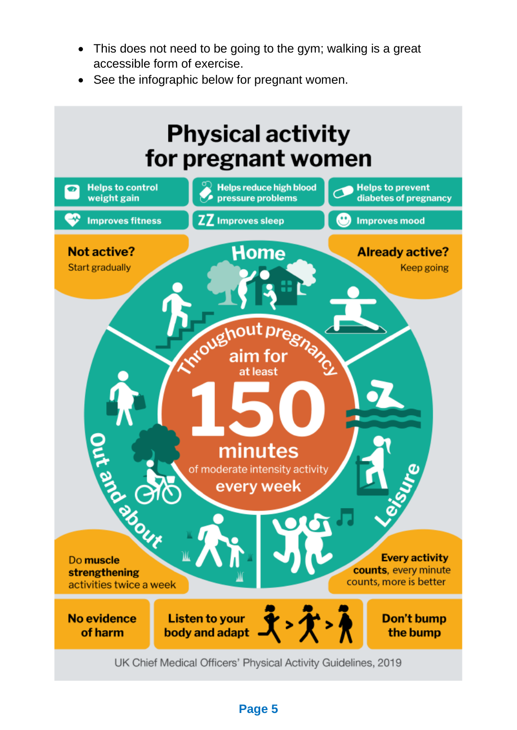- This does not need to be going to the gym; walking is a great accessible form of exercise.
- See the infographic below for pregnant women.



**Page 5**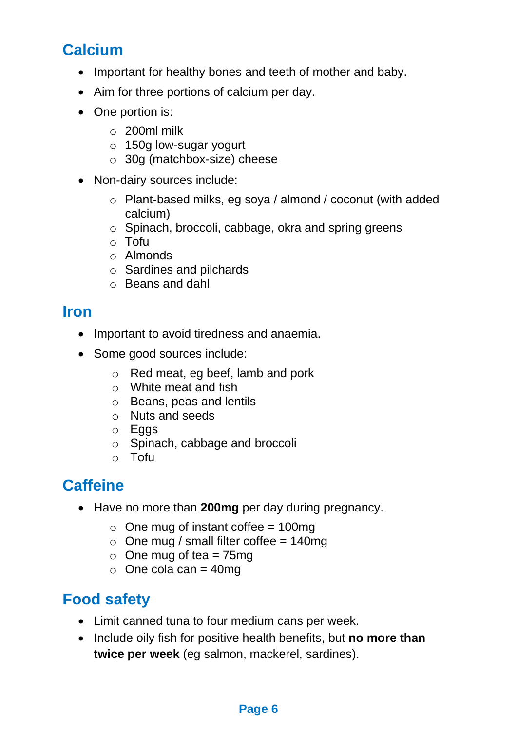#### **Calcium**

- Important for healthy bones and teeth of mother and baby.
- Aim for three portions of calcium per day.
- One portion is:
	- o 200ml milk
	- o 150g low-sugar yogurt
	- o 30g (matchbox-size) cheese
- Non-dairy sources include:
	- o Plant-based milks, eg soya / almond / coconut (with added calcium)
	- o Spinach, broccoli, cabbage, okra and spring greens
	- o Tofu
	- o Almonds
	- o Sardines and pilchards
	- o Beans and dahl

#### **Iron**

- Important to avoid tiredness and anaemia.
- Some good sources include:
	- o Red meat, eg beef, lamb and pork
	- o White meat and fish
	- o Beans, peas and lentils
	- o Nuts and seeds
	- o Eggs
	- o Spinach, cabbage and broccoli
	- o Tofu

#### **Caffeine**

- Have no more than **200mg** per day during pregnancy.
	- $\circ$  One mug of instant coffee = 100mg
	- $\circ$  One mug / small filter coffee = 140mg
	- $\circ$  One mug of tea = 75mg
	- $\circ$  One cola can = 40mg

#### **Food safety**

- Limit canned tuna to four medium cans per week.
- Include oily fish for positive health benefits, but **no more than twice per week** (eg salmon, mackerel, sardines).

#### **Page 6**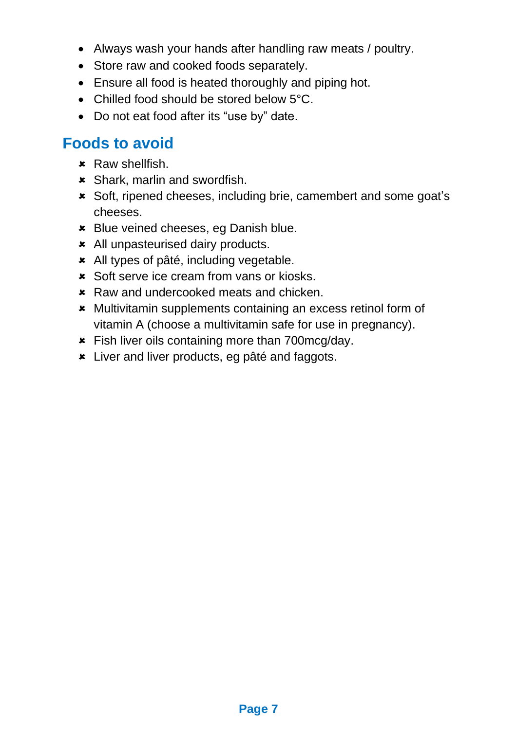- Always wash your hands after handling raw meats / poultry.
- Store raw and cooked foods separately.
- Ensure all food is heated thoroughly and piping hot.
- Chilled food should be stored below 5°C.
- Do not eat food after its "use by" date.

#### **Foods to avoid**

- $\star$  Raw shellfish.
- Shark, marlin and swordfish.
- Soft, ripened cheeses, including brie, camembert and some goat's cheeses.
- **\*** Blue veined cheeses, eg Danish blue.
- All unpasteurised dairy products.
- All types of pâté, including vegetable.
- \* Soft serve ice cream from vans or kiosks.
- **\*** Raw and undercooked meats and chicken.
- \* Multivitamin supplements containing an excess retinol form of vitamin A (choose a multivitamin safe for use in pregnancy).
- **\*** Fish liver oils containing more than 700mcg/day.
- Liver and liver products, eg pâté and faggots.